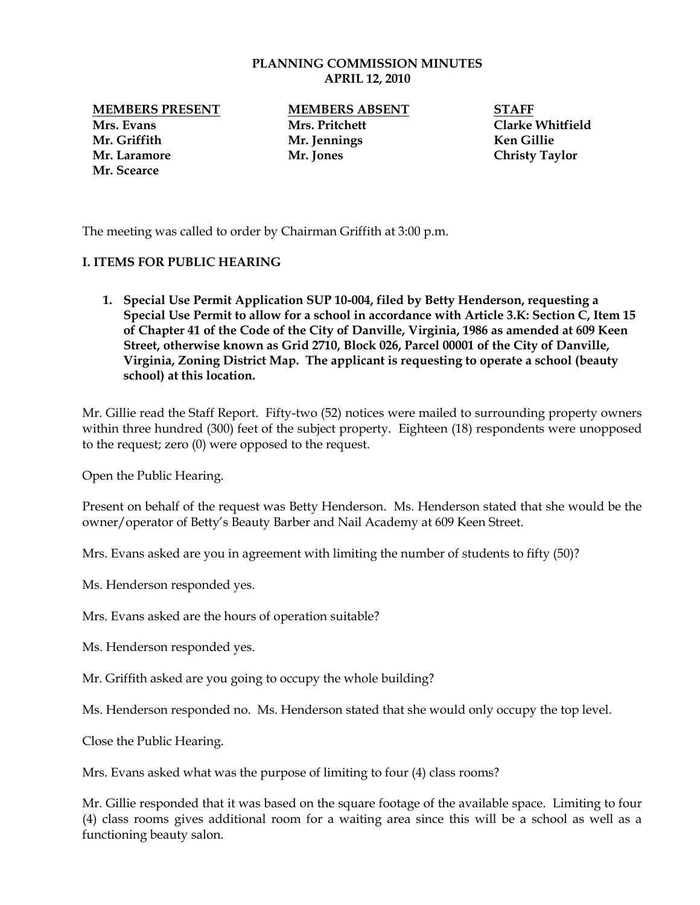## **PLANNING COMMISSION MINUTES APRIL 12, 2010**

**MEMBERS PRESENT MEMBERS ABSENT STAFF Mrs. Evans Mrs. Pritchett Clarke Whitfield Mr. Griffith Mr. Jennings Ken Gillie Mr. Laramore Mr. Jones Christy Taylor Mr. Scearce**

The meeting was called to order by Chairman Griffith at 3:00 p.m.

## **I. ITEMS FOR PUBLIC HEARING**

**1. Special Use Permit Application SUP 10-004, filed by Betty Henderson, requesting a Special Use Permit to allow for a school in accordance with Article 3.K: Section C, Item 15 of Chapter 41 of the Code of the City of Danville, Virginia, 1986 as amended at 609 Keen Street, otherwise known as Grid 2710, Block 026, Parcel 00001 of the City of Danville, Virginia, Zoning District Map. The applicant is requesting to operate a school (beauty school) at this location.**

Mr. Gillie read the Staff Report. Fifty-two (52) notices were mailed to surrounding property owners within three hundred (300) feet of the subject property. Eighteen (18) respondents were unopposed to the request; zero (0) were opposed to the request.

Open the Public Hearing.

Present on behalf of the request was Betty Henderson. Ms. Henderson stated that she would be the owner/operator of Betty's Beauty Barber and Nail Academy at 609 Keen Street.

Mrs. Evans asked are you in agreement with limiting the number of students to fifty (50)?

Ms. Henderson responded yes.

Mrs. Evans asked are the hours of operation suitable?

Ms. Henderson responded yes.

Mr. Griffith asked are you going to occupy the whole building?

Ms. Henderson responded no. Ms. Henderson stated that she would only occupy the top level.

Close the Public Hearing.

Mrs. Evans asked what was the purpose of limiting to four (4) class rooms?

Mr. Gillie responded that it was based on the square footage of the available space. Limiting to four (4) class rooms gives additional room for a waiting area since this will be a school as well as a functioning beauty salon.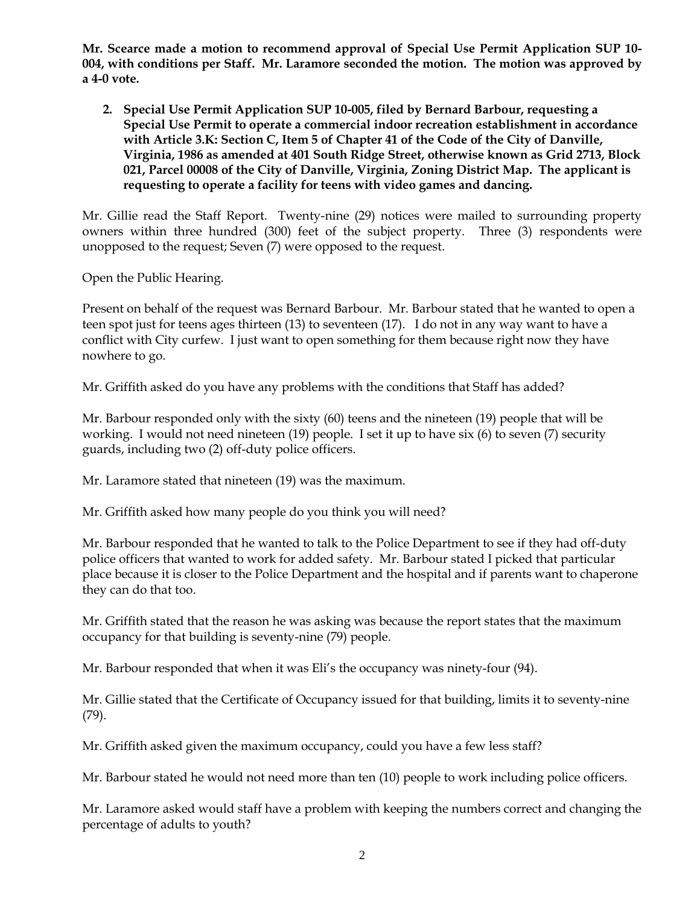**Mr. Scearce made a motion to recommend approval of Special Use Permit Application SUP 10- 004, with conditions per Staff. Mr. Laramore seconded the motion. The motion was approved by a 4-0 vote.** 

**2. Special Use Permit Application SUP 10-005, filed by Bernard Barbour, requesting a Special Use Permit to operate a commercial indoor recreation establishment in accordance with Article 3.K: Section C, Item 5 of Chapter 41 of the Code of the City of Danville, Virginia, 1986 as amended at 401 South Ridge Street, otherwise known as Grid 2713, Block 021, Parcel 00008 of the City of Danville, Virginia, Zoning District Map. The applicant is requesting to operate a facility for teens with video games and dancing.**

Mr. Gillie read the Staff Report. Twenty-nine (29) notices were mailed to surrounding property owners within three hundred (300) feet of the subject property. Three (3) respondents were unopposed to the request; Seven (7) were opposed to the request.

Open the Public Hearing.

Present on behalf of the request was Bernard Barbour. Mr. Barbour stated that he wanted to open a teen spot just for teens ages thirteen (13) to seventeen (17). I do not in any way want to have a conflict with City curfew. I just want to open something for them because right now they have nowhere to go.

Mr. Griffith asked do you have any problems with the conditions that Staff has added?

Mr. Barbour responded only with the sixty (60) teens and the nineteen (19) people that will be working. I would not need nineteen (19) people. I set it up to have six (6) to seven (7) security guards, including two (2) off-duty police officers.

Mr. Laramore stated that nineteen (19) was the maximum.

Mr. Griffith asked how many people do you think you will need?

Mr. Barbour responded that he wanted to talk to the Police Department to see if they had off-duty police officers that wanted to work for added safety. Mr. Barbour stated I picked that particular place because it is closer to the Police Department and the hospital and if parents want to chaperone they can do that too.

Mr. Griffith stated that the reason he was asking was because the report states that the maximum occupancy for that building is seventy-nine (79) people.

Mr. Barbour responded that when it was Eli's the occupancy was ninety-four (94).

Mr. Gillie stated that the Certificate of Occupancy issued for that building, limits it to seventy-nine (79).

Mr. Griffith asked given the maximum occupancy, could you have a few less staff?

Mr. Barbour stated he would not need more than ten (10) people to work including police officers.

Mr. Laramore asked would staff have a problem with keeping the numbers correct and changing the percentage of adults to youth?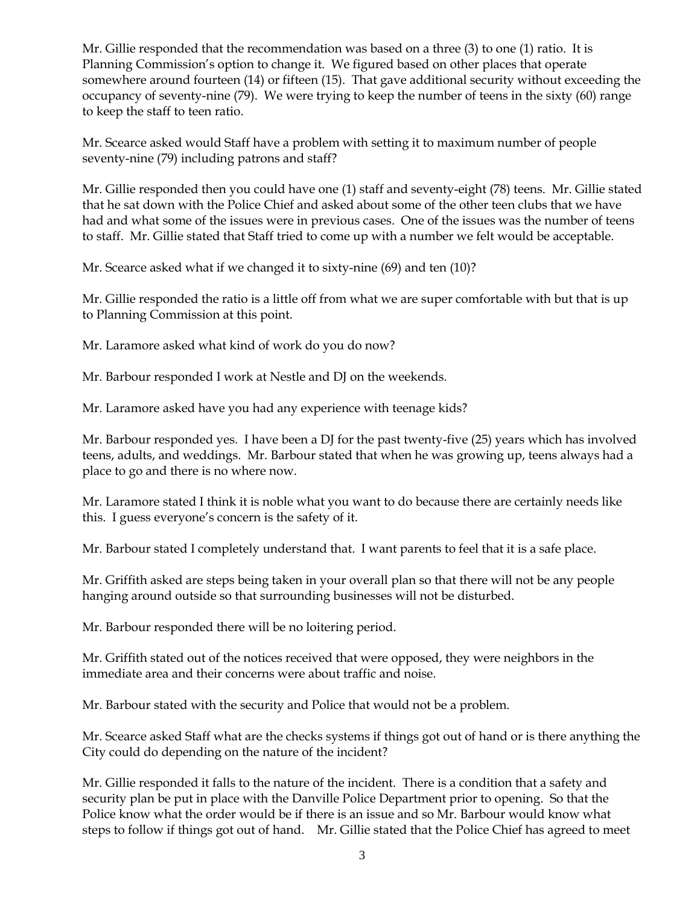Mr. Gillie responded that the recommendation was based on a three (3) to one (1) ratio. It is Planning Commission's option to change it. We figured based on other places that operate somewhere around fourteen (14) or fifteen (15). That gave additional security without exceeding the occupancy of seventy-nine (79). We were trying to keep the number of teens in the sixty (60) range to keep the staff to teen ratio.

Mr. Scearce asked would Staff have a problem with setting it to maximum number of people seventy-nine (79) including patrons and staff?

Mr. Gillie responded then you could have one (1) staff and seventy-eight (78) teens. Mr. Gillie stated that he sat down with the Police Chief and asked about some of the other teen clubs that we have had and what some of the issues were in previous cases. One of the issues was the number of teens to staff. Mr. Gillie stated that Staff tried to come up with a number we felt would be acceptable.

Mr. Scearce asked what if we changed it to sixty-nine (69) and ten (10)?

Mr. Gillie responded the ratio is a little off from what we are super comfortable with but that is up to Planning Commission at this point.

Mr. Laramore asked what kind of work do you do now?

Mr. Barbour responded I work at Nestle and DJ on the weekends.

Mr. Laramore asked have you had any experience with teenage kids?

Mr. Barbour responded yes. I have been a DJ for the past twenty-five (25) years which has involved teens, adults, and weddings. Mr. Barbour stated that when he was growing up, teens always had a place to go and there is no where now.

Mr. Laramore stated I think it is noble what you want to do because there are certainly needs like this. I guess everyone's concern is the safety of it.

Mr. Barbour stated I completely understand that. I want parents to feel that it is a safe place.

Mr. Griffith asked are steps being taken in your overall plan so that there will not be any people hanging around outside so that surrounding businesses will not be disturbed.

Mr. Barbour responded there will be no loitering period.

Mr. Griffith stated out of the notices received that were opposed, they were neighbors in the immediate area and their concerns were about traffic and noise.

Mr. Barbour stated with the security and Police that would not be a problem.

Mr. Scearce asked Staff what are the checks systems if things got out of hand or is there anything the City could do depending on the nature of the incident?

Mr. Gillie responded it falls to the nature of the incident. There is a condition that a safety and security plan be put in place with the Danville Police Department prior to opening. So that the Police know what the order would be if there is an issue and so Mr. Barbour would know what steps to follow if things got out of hand. Mr. Gillie stated that the Police Chief has agreed to meet